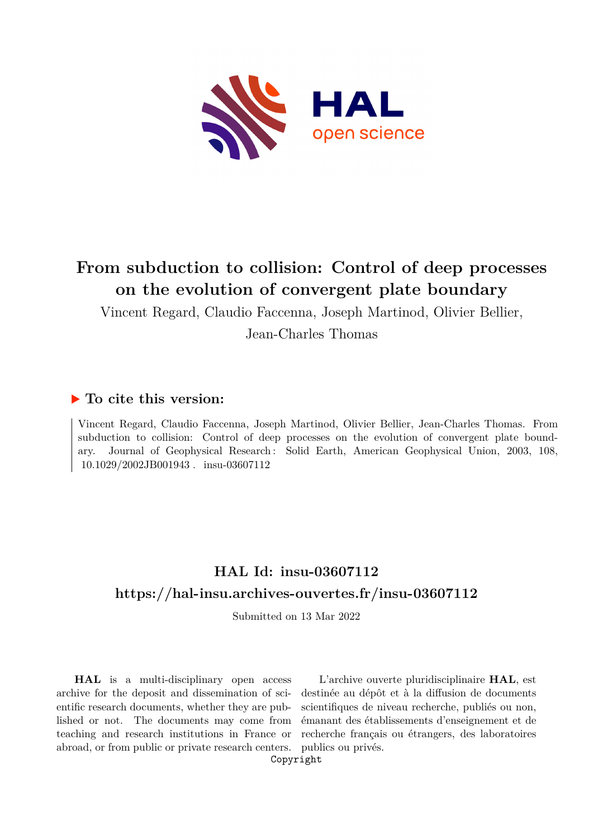

# **From subduction to collision: Control of deep processes on the evolution of convergent plate boundary**

Vincent Regard, Claudio Faccenna, Joseph Martinod, Olivier Bellier,

Jean-Charles Thomas

## **To cite this version:**

Vincent Regard, Claudio Faccenna, Joseph Martinod, Olivier Bellier, Jean-Charles Thomas. From subduction to collision: Control of deep processes on the evolution of convergent plate boundary. Journal of Geophysical Research : Solid Earth, American Geophysical Union, 2003, 108, 10.1029/2002JB001943. insu-03607112

## **HAL Id: insu-03607112 <https://hal-insu.archives-ouvertes.fr/insu-03607112>**

Submitted on 13 Mar 2022

**HAL** is a multi-disciplinary open access archive for the deposit and dissemination of scientific research documents, whether they are published or not. The documents may come from teaching and research institutions in France or abroad, or from public or private research centers.

L'archive ouverte pluridisciplinaire **HAL**, est destinée au dépôt et à la diffusion de documents scientifiques de niveau recherche, publiés ou non, émanant des établissements d'enseignement et de recherche français ou étrangers, des laboratoires publics ou privés.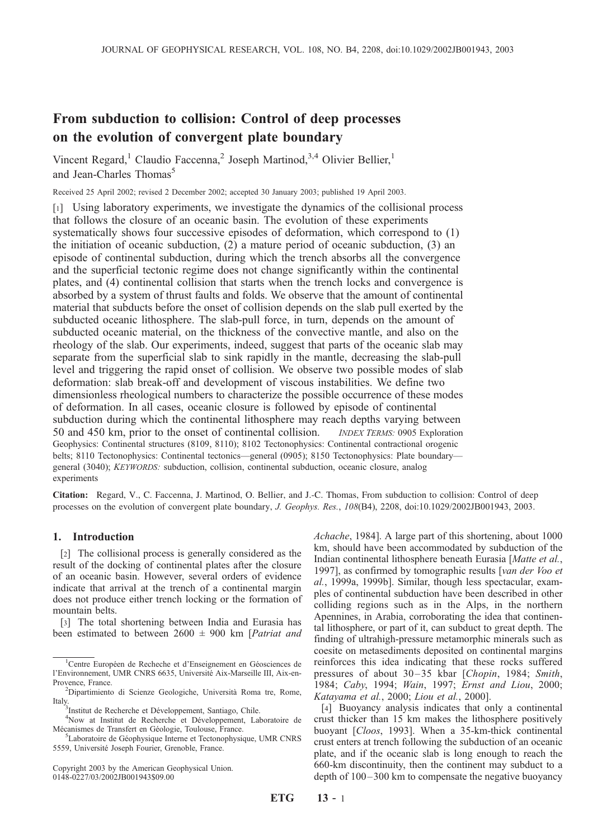### From subduction to collision: Control of deep processes on the evolution of convergent plate boundary

Vincent Regard,<sup>1</sup> Claudio Faccenna,<sup>2</sup> Joseph Martinod,<sup>3,4</sup> Olivier Bellier,<sup>1</sup> and Jean-Charles Thomas<sup>5</sup>

Received 25 April 2002; revised 2 December 2002; accepted 30 January 2003; published 19 April 2003.

[1] Using laboratory experiments, we investigate the dynamics of the collisional process that follows the closure of an oceanic basin. The evolution of these experiments systematically shows four successive episodes of deformation, which correspond to (1) the initiation of oceanic subduction, (2) a mature period of oceanic subduction, (3) an episode of continental subduction, during which the trench absorbs all the convergence and the superficial tectonic regime does not change significantly within the continental plates, and (4) continental collision that starts when the trench locks and convergence is absorbed by a system of thrust faults and folds. We observe that the amount of continental material that subducts before the onset of collision depends on the slab pull exerted by the subducted oceanic lithosphere. The slab-pull force, in turn, depends on the amount of subducted oceanic material, on the thickness of the convective mantle, and also on the rheology of the slab. Our experiments, indeed, suggest that parts of the oceanic slab may separate from the superficial slab to sink rapidly in the mantle, decreasing the slab-pull level and triggering the rapid onset of collision. We observe two possible modes of slab deformation: slab break-off and development of viscous instabilities. We define two dimensionless rheological numbers to characterize the possible occurrence of these modes of deformation. In all cases, oceanic closure is followed by episode of continental subduction during which the continental lithosphere may reach depths varying between 50 and 450 km, prior to the onset of continental collision. *INDEX TERMS:* 0905 Exploration Geophysics: Continental structures (8109, 8110); 8102 Tectonophysics: Continental contractional orogenic belts; 8110 Tectonophysics: Continental tectonics—general (0905); 8150 Tectonophysics: Plate boundary general (3040); KEYWORDS: subduction, collision, continental subduction, oceanic closure, analog experiments

Citation: Regard, V., C. Faccenna, J. Martinod, O. Bellier, and J.-C. Thomas, From subduction to collision: Control of deep processes on the evolution of convergent plate boundary, J. Geophys. Res., 108(B4), 2208, doi:10.1029/2002JB001943, 2003.

#### 1. Introduction

[2] The collisional process is generally considered as the result of the docking of continental plates after the closure of an oceanic basin. However, several orders of evidence indicate that arrival at the trench of a continental margin does not produce either trench locking or the formation of mountain belts.

[3] The total shortening between India and Eurasia has been estimated to between  $2600 \pm 900$  km [*Patriat and* 

Copyright 2003 by the American Geophysical Union. 0148-0227/03/2002JB001943\$09.00

Achache, 1984]. A large part of this shortening, about 1000 km, should have been accommodated by subduction of the Indian continental lithosphere beneath Eurasia [Matte et al., 1997], as confirmed by tomographic results [van der Voo et al., 1999a, 1999b]. Similar, though less spectacular, examples of continental subduction have been described in other colliding regions such as in the Alps, in the northern Apennines, in Arabia, corroborating the idea that continental lithosphere, or part of it, can subduct to great depth. The finding of ultrahigh-pressure metamorphic minerals such as coesite on metasediments deposited on continental margins reinforces this idea indicating that these rocks suffered pressures of about 30–35 kbar [Chopin, 1984; Smith, 1984; Caby, 1994; Wain, 1997; Ernst and Liou, 2000; Katayama et al., 2000; Liou et al., 2000].

[4] Buoyancy analysis indicates that only a continental crust thicker than 15 km makes the lithosphere positively buoyant [Cloos, 1993]. When a 35-km-thick continental crust enters at trench following the subduction of an oceanic plate, and if the oceanic slab is long enough to reach the 660-km discontinuity, then the continent may subduct to a depth of  $100-300$  km to compensate the negative buoyancy

<sup>&</sup>lt;sup>1</sup>Centre Européen de Recheche et d'Enseignement en Géosciences de l'Environnement, UMR CNRS 6635, Université Aix-Marseille III, Aix-en-Provence, France.

<sup>&</sup>lt;sup>2</sup>Dipartimiento di Scienze Geologiche, Università Roma tre, Rome, Italy.

<sup>&</sup>lt;sup>3</sup>Institut de Recherche et Développement, Santiago, Chile.

<sup>&</sup>lt;sup>4</sup>Now at Institut de Recherche et Développement, Laboratoire de Mécanismes de Transfert en Géologie, Toulouse, France.

<sup>&</sup>lt;sup>5</sup>Laboratoire de Géophysique Interne et Tectonophysique, UMR CNRS 5559, Université Joseph Fourier, Grenoble, France.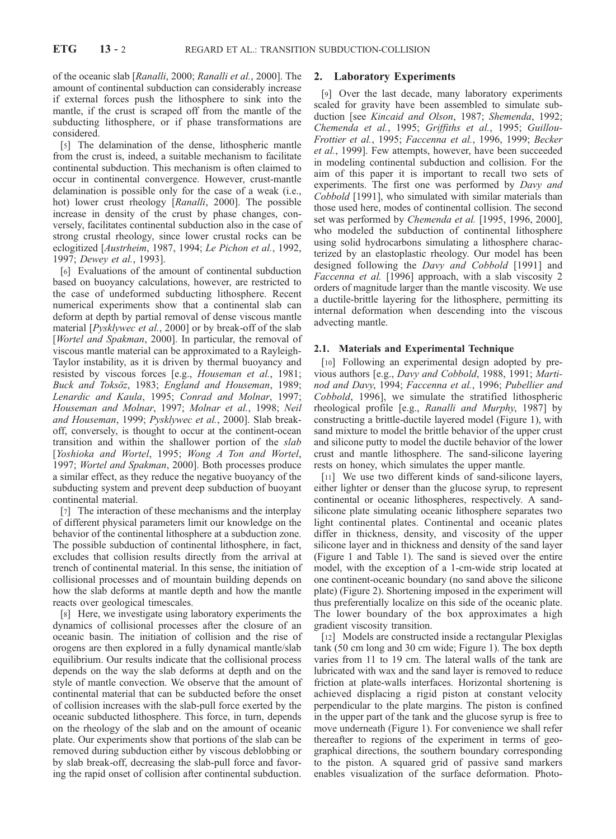of the oceanic slab [Ranalli, 2000; Ranalli et al., 2000]. The amount of continental subduction can considerably increase if external forces push the lithosphere to sink into the mantle, if the crust is scraped off from the mantle of the subducting lithosphere, or if phase transformations are considered.

[5] The delamination of the dense, lithospheric mantle from the crust is, indeed, a suitable mechanism to facilitate continental subduction. This mechanism is often claimed to occur in continental convergence. However, crust-mantle delamination is possible only for the case of a weak (i.e., hot) lower crust rheology [Ranalli, 2000]. The possible increase in density of the crust by phase changes, conversely, facilitates continental subduction also in the case of strong crustal rheology, since lower crustal rocks can be eclogitized [Austrheim, 1987, 1994; Le Pichon et al., 1992, 1997; Dewey et al., 1993].

[6] Evaluations of the amount of continental subduction based on buoyancy calculations, however, are restricted to the case of undeformed subducting lithosphere. Recent numerical experiments show that a continental slab can deform at depth by partial removal of dense viscous mantle material [Pysklywec et al., 2000] or by break-off of the slab [Wortel and Spakman, 2000]. In particular, the removal of viscous mantle material can be approximated to a Rayleigh-Taylor instability, as it is driven by thermal buoyancy and resisted by viscous forces [e.g., Houseman et al., 1981; Buck and Toksöz, 1983; England and Houseman, 1989; Lenardic and Kaula, 1995; Conrad and Molnar, 1997; Houseman and Molnar, 1997; Molnar et al., 1998; Neil and Houseman, 1999; Pysklywec et al., 2000]. Slab breakoff, conversely, is thought to occur at the continent-ocean transition and within the shallower portion of the slab [Yoshioka and Wortel, 1995; Wong A Ton and Wortel, 1997; Wortel and Spakman, 2000]. Both processes produce a similar effect, as they reduce the negative buoyancy of the subducting system and prevent deep subduction of buoyant continental material.

[7] The interaction of these mechanisms and the interplay of different physical parameters limit our knowledge on the behavior of the continental lithosphere at a subduction zone. The possible subduction of continental lithosphere, in fact, excludes that collision results directly from the arrival at trench of continental material. In this sense, the initiation of collisional processes and of mountain building depends on how the slab deforms at mantle depth and how the mantle reacts over geological timescales.

[8] Here, we investigate using laboratory experiments the dynamics of collisional processes after the closure of an oceanic basin. The initiation of collision and the rise of orogens are then explored in a fully dynamical mantle/slab equilibrium. Our results indicate that the collisional process depends on the way the slab deforms at depth and on the style of mantle convection. We observe that the amount of continental material that can be subducted before the onset of collision increases with the slab-pull force exerted by the oceanic subducted lithosphere. This force, in turn, depends on the rheology of the slab and on the amount of oceanic plate. Our experiments show that portions of the slab can be removed during subduction either by viscous deblobbing or by slab break-off, decreasing the slab-pull force and favoring the rapid onset of collision after continental subduction.

#### 2. Laboratory Experiments

[9] Over the last decade, many laboratory experiments scaled for gravity have been assembled to simulate subduction [see Kincaid and Olson, 1987; Shemenda, 1992; Chemenda et al., 1995; Griffiths et al., 1995; Guillou-Frottier et al., 1995; Faccenna et al., 1996, 1999; Becker et al., 1999]. Few attempts, however, have been succeeded in modeling continental subduction and collision. For the aim of this paper it is important to recall two sets of experiments. The first one was performed by Davy and Cobbold [1991], who simulated with similar materials than those used here, modes of continental collision. The second set was performed by *Chemenda et al.* [1995, 1996, 2000], who modeled the subduction of continental lithosphere using solid hydrocarbons simulating a lithosphere characterized by an elastoplastic rheology. Our model has been designed following the Davy and Cobbold [1991] and Faccenna et al. [1996] approach, with a slab viscosity 2 orders of magnitude larger than the mantle viscosity. We use a ductile-brittle layering for the lithosphere, permitting its internal deformation when descending into the viscous advecting mantle.

#### 2.1. Materials and Experimental Technique

[10] Following an experimental design adopted by previous authors [e.g., Davy and Cobbold, 1988, 1991; Martinod and Davy, 1994; Faccenna et al., 1996; Pubellier and Cobbold, 1996], we simulate the stratified lithospheric rheological profile [e.g., Ranalli and Murphy, 1987] by constructing a brittle-ductile layered model (Figure 1), with sand mixture to model the brittle behavior of the upper crust and silicone putty to model the ductile behavior of the lower crust and mantle lithosphere. The sand-silicone layering rests on honey, which simulates the upper mantle.

[11] We use two different kinds of sand-silicone layers, either lighter or denser than the glucose syrup, to represent continental or oceanic lithospheres, respectively. A sandsilicone plate simulating oceanic lithosphere separates two light continental plates. Continental and oceanic plates differ in thickness, density, and viscosity of the upper silicone layer and in thickness and density of the sand layer (Figure 1 and Table 1). The sand is sieved over the entire model, with the exception of a 1-cm-wide strip located at one continent-oceanic boundary (no sand above the silicone plate) (Figure 2). Shortening imposed in the experiment will thus preferentially localize on this side of the oceanic plate. The lower boundary of the box approximates a high gradient viscosity transition.

[12] Models are constructed inside a rectangular Plexiglas tank (50 cm long and 30 cm wide; Figure 1). The box depth varies from 11 to 19 cm. The lateral walls of the tank are lubricated with wax and the sand layer is removed to reduce friction at plate-walls interfaces. Horizontal shortening is achieved displacing a rigid piston at constant velocity perpendicular to the plate margins. The piston is confined in the upper part of the tank and the glucose syrup is free to move underneath (Figure 1). For convenience we shall refer thereafter to regions of the experiment in terms of geographical directions, the southern boundary corresponding to the piston. A squared grid of passive sand markers enables visualization of the surface deformation. Photo-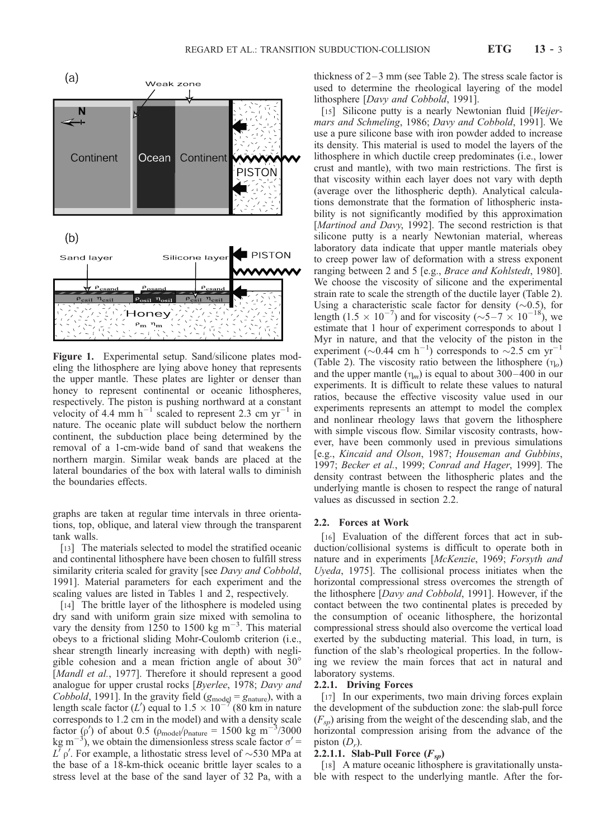

Figure 1. Experimental setup. Sand/silicone plates modeling the lithosphere are lying above honey that represents the upper mantle. These plates are lighter or denser than honey to represent continental or oceanic lithospheres, respectively. The piston is pushing northward at a constant velocity of 4.4 mm h<sup>-1</sup> scaled to represent 2.3 cm  $yr^{-1}$  in nature. The oceanic plate will subduct below the northern continent, the subduction place being determined by the removal of a 1-cm-wide band of sand that weakens the northern margin. Similar weak bands are placed at the lateral boundaries of the box with lateral walls to diminish the boundaries effects.

graphs are taken at regular time intervals in three orientations, top, oblique, and lateral view through the transparent tank walls.

[13] The materials selected to model the stratified oceanic and continental lithosphere have been chosen to fulfill stress similarity criteria scaled for gravity [see Davy and Cobbold, 1991]. Material parameters for each experiment and the scaling values are listed in Tables 1 and 2, respectively.

[14] The brittle layer of the lithosphere is modeled using dry sand with uniform grain size mixed with semolina to vary the density from 1250 to 1500 kg m<sup>-3</sup>. This material obeys to a frictional sliding Mohr-Coulomb criterion (i.e., shear strength linearly increasing with depth) with negligible cohesion and a mean friction angle of about 30 [*Mandl et al.*, 1977]. Therefore it should represent a good analogue for upper crustal rocks [Byerlee, 1978; Davy and Cobbold, 1991]. In the gravity field  $(g_{\text{model}} = g_{\text{natural}})$ , with a length scale factor (L') equal to  $1.5 \times 10^{-7}$  (80 km in nature corresponds to 1.2 cm in the model) and with a density scale factor ( $\rho'$ ) of about 0.5 ( $\rho_{\text{model}}/\rho_{\text{natural}} = 1500 \text{ kg m}^{-3}/3000$ kg m<sup>-3</sup>), we obtain the dimensionless stress scale factor  $\sigma'$  =  $L^7 \rho'$ . For example, a lithostatic stress level of  $\sim$ 530 MPa at the base of a 18-km-thick oceanic brittle layer scales to a stress level at the base of the sand layer of 32 Pa, with a

thickness of  $2-3$  mm (see Table 2). The stress scale factor is used to determine the rheological layering of the model lithosphere [Davy and Cobbold, 1991].

[15] Silicone putty is a nearly Newtonian fluid [Weijermars and Schmeling, 1986; Davy and Cobbold, 1991]. We use a pure silicone base with iron powder added to increase its density. This material is used to model the layers of the lithosphere in which ductile creep predominates (i.e., lower crust and mantle), with two main restrictions. The first is that viscosity within each layer does not vary with depth (average over the lithospheric depth). Analytical calculations demonstrate that the formation of lithospheric instability is not significantly modified by this approximation [Martinod and Davy, 1992]. The second restriction is that silicone putty is a nearly Newtonian material, whereas laboratory data indicate that upper mantle materials obey to creep power law of deformation with a stress exponent ranging between 2 and 5 [e.g., *Brace and Kohlstedt*, 1980]. We choose the viscosity of silicone and the experimental strain rate to scale the strength of the ductile layer (Table 2). Using a characteristic scale factor for density  $(\sim 0.5)$ , for length  $(1.5 \times 10^{-7})$  and for viscosity ( $\sim 5-7 \times 10^{-18}$ ), we estimate that 1 hour of experiment corresponds to about 1 Myr in nature, and that the velocity of the piston in the experiment ( $\sim 0.44$  cm h<sup>-1</sup>) corresponds to  $\sim 2.5$  cm yr<sup>-1</sup> (Table 2). The viscosity ratio between the lithosphere  $(\eta_o)$ and the upper mantle  $(\eta_m)$  is equal to about 300–400 in our experiments. It is difficult to relate these values to natural ratios, because the effective viscosity value used in our experiments represents an attempt to model the complex and nonlinear rheology laws that govern the lithosphere with simple viscous flow. Similar viscosity contrasts, however, have been commonly used in previous simulations [e.g., Kincaid and Olson, 1987; Houseman and Gubbins, 1997; Becker et al., 1999; Conrad and Hager, 1999]. The density contrast between the lithospheric plates and the underlying mantle is chosen to respect the range of natural values as discussed in section 2.2.

#### 2.2. Forces at Work

[16] Evaluation of the different forces that act in subduction/collisional systems is difficult to operate both in nature and in experiments [McKenzie, 1969; Forsyth and Uyeda, 1975]. The collisional process initiates when the horizontal compressional stress overcomes the strength of the lithosphere [Davy and Cobbold, 1991]. However, if the contact between the two continental plates is preceded by the consumption of oceanic lithosphere, the horizontal compressional stress should also overcome the vertical load exerted by the subducting material. This load, in turn, is function of the slab's rheological properties. In the following we review the main forces that act in natural and laboratory systems.

#### 2.2.1. Driving Forces

[17] In our experiments, two main driving forces explain the development of the subduction zone: the slab-pull force  $(F_{\rm SD})$  arising from the weight of the descending slab, and the horizontal compression arising from the advance of the piston  $(D_r)$ .

#### 2.2.1.1. Slab-Pull Force  $(F_{sp})$

[18] A mature oceanic lithosphere is gravitationally unstable with respect to the underlying mantle. After the for-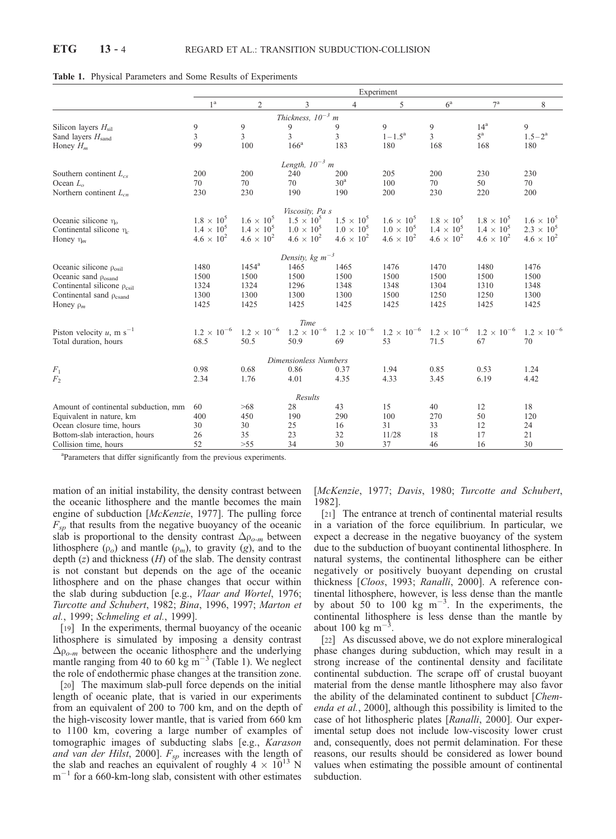|                                           | Experiment           |                      |                         |                      |                      |                      |                      |                      |
|-------------------------------------------|----------------------|----------------------|-------------------------|----------------------|----------------------|----------------------|----------------------|----------------------|
|                                           | $1^{\mathrm{a}}$     | $\overline{2}$       | 3                       | $\overline{4}$       | 5                    | 6 <sup>a</sup>       | $7^{\rm a}$          | 8                    |
|                                           |                      |                      | Thickness, $10^{-3}$ m  |                      |                      |                      |                      |                      |
| Silicon layers $Hsil$                     | 9                    | 9                    | 9                       | 9                    | 9                    | 9                    | 14 <sup>a</sup>      | 9                    |
| Sand layers $H_{\text{sand}}$             | 3                    | 3                    | 3                       | 3                    | $1 - 1.5^{\rm a}$    | 3                    | $5^{\mathrm{a}}$     | $1.5 - 2^a$          |
| Honey $H_m$                               | 99                   | 100                  | $166^a$                 | 183                  | 180                  | 168                  | 168                  | 180                  |
|                                           |                      |                      | Length, $10^{-3}$ m     |                      |                      |                      |                      |                      |
| Southern continent $L_{cs}$               | 200                  | 200                  | 240                     | 200                  | 205                  | 200                  | 230                  | 230                  |
| Ocean $L_{\alpha}$                        | 70                   | 70                   | 70                      | 30 <sup>a</sup>      | 100                  | 70                   | 50                   | 70                   |
| Northern continent $L_{cn}$               | 230                  | 230                  | 190                     | 190                  | 200                  | 230                  | 220                  | 200                  |
|                                           |                      |                      | Viscosity, Pa s         |                      |                      |                      |                      |                      |
| Oceanic silicone $\eta$ <sub>o</sub>      | $1.8 \times 10^{5}$  | $1.6 \times 10^{5}$  | $1.5 \times 10^{5}$     | $1.5 \times 10^{5}$  | $1.6 \times 10^{5}$  | $1.8 \times 10^{5}$  | $1.8 \times 10^{5}$  | $1.6 \times 10^{5}$  |
| Continental silicone $\eta_c$             | $1.4 \times 10^{5}$  | $1.4 \times 10^{5}$  | $1.0 \times 10^{5}$     | $1.0 \times 10^{5}$  | $1.0\,\times\,10^5$  | $1.4 \times 10^{5}$  | $1.4 \times 10^{5}$  | $2.3 \times 10^{5}$  |
| Honey $\eta_m$                            | $4.6 \times 10^{2}$  | $4.6 \times 10^{2}$  | $4.6 \times 10^{2}$     | $4.6 \times 10^{2}$  | $4.6 \times 10^{2}$  | $4.6 \times 10^{2}$  | $4.6 \times 10^{2}$  | $4.6 \times 10^{2}$  |
|                                           |                      |                      | Density, $kg \, m^{-3}$ |                      |                      |                      |                      |                      |
| Oceanic silicone $\rho_{\text{osil}}$     | 1480                 | $1454^{\rm a}$       | 1465                    | 1465                 | 1476                 | 1470                 | 1480                 | 1476                 |
| Oceanic sand $\rho_{\text{osand}}$        | 1500                 | 1500                 | 1500                    | 1500                 | 1500                 | 1500                 | 1500                 | 1500                 |
| Continental silicone $\rho_{\text{csil}}$ | 1324                 | 1324                 | 1296                    | 1348                 | 1348                 | 1304                 | 1310                 | 1348                 |
| Continental sand $\rho_{\text{csand}}$    | 1300                 | 1300                 | 1300                    | 1300                 | 1500                 | 1250                 | 1250                 | 1300                 |
|                                           | 1425                 | 1425                 | 1425                    | 1425                 | 1425                 | 1425                 | 1425                 | 1425                 |
| Honey $\rho_m$                            |                      |                      |                         |                      |                      |                      |                      |                      |
| Time                                      |                      |                      |                         |                      |                      |                      |                      |                      |
| Piston velocity u, m s <sup>-1</sup>      | $1.2 \times 10^{-6}$ | $1.2 \times 10^{-6}$ | $1.2\,\times\,10^{-6}$  | $1.2 \times 10^{-6}$ | $1.2 \times 10^{-6}$ | $1.2 \times 10^{-6}$ | $1.2 \times 10^{-6}$ | $1.2 \times 10^{-6}$ |
| Total duration, hours                     | 68.5                 | 50.5                 | 50.9                    | 69                   | 53                   | 71.5                 | 67                   | 70                   |
|                                           |                      |                      | Dimensionless Numbers   |                      |                      |                      |                      |                      |
| $F_1$                                     | 0.98                 | 0.68                 | 0.86                    | 0.37                 | 1.94                 | 0.85                 | 0.53                 | 1.24                 |
| F <sub>2</sub>                            | 2.34                 | 1.76                 | 4.01                    | 4.35                 | 4.33                 | 3.45                 | 6.19                 | 4.42                 |
|                                           |                      |                      | Results                 |                      |                      |                      |                      |                      |
| Amount of continental subduction, mm      | 60                   | >68                  | 28                      | 43                   | 15                   | 40                   | 12                   | 18                   |
| Equivalent in nature, km                  | 400                  | 450                  | 190                     | 290                  | 100                  | 270                  | 50                   | 120                  |
| Ocean closure time, hours                 | 30                   | 30                   | 25                      | 16                   | 31                   | 33                   | 12                   | 24                   |
| Bottom-slab interaction, hours            | 26                   | 35                   | 23                      | 32                   | 11/28                | 18                   | 17                   | 21                   |
| Collision time, hours                     | 52                   | >55                  | 34                      | 30                   | 37                   | 46                   | 16                   | 30                   |

|  |  |  |  |  |  | <b>Table 1.</b> Physical Parameters and Some Results of Experiments |
|--|--|--|--|--|--|---------------------------------------------------------------------|
|--|--|--|--|--|--|---------------------------------------------------------------------|

<sup>a</sup>Parameters that differ significantly from the previous experiments.

mation of an initial instability, the density contrast between the oceanic lithosphere and the mantle becomes the main engine of subduction [McKenzie, 1977]. The pulling force  $F_{\rm sp}$  that results from the negative buoyancy of the oceanic slab is proportional to the density contrast  $\Delta \rho_{\alpha-m}$  between lithosphere  $(\rho_o)$  and mantle  $(\rho_m)$ , to gravity (g), and to the depth  $(z)$  and thickness  $(H)$  of the slab. The density contrast is not constant but depends on the age of the oceanic lithosphere and on the phase changes that occur within the slab during subduction [e.g., Vlaar and Wortel, 1976; Turcotte and Schubert, 1982; Bina, 1996, 1997; Marton et al., 1999; Schmeling et al., 1999].

[19] In the experiments, thermal buoyancy of the oceanic lithosphere is simulated by imposing a density contrast  $\Delta\rho_{o-m}$  between the oceanic lithosphere and the underlying mantle ranging from 40 to 60 kg  $m^{-3}$  (Table 1). We neglect the role of endothermic phase changes at the transition zone.

[20] The maximum slab-pull force depends on the initial length of oceanic plate, that is varied in our experiments from an equivalent of 200 to 700 km, and on the depth of the high-viscosity lower mantle, that is varied from 660 km to 1100 km, covering a large number of examples of tomographic images of subducting slabs [e.g., Karason and van der Hilst, 2000].  $F_{sp}$  increases with the length of the slab and reaches an equivalent of roughly  $4 \times 10^{13}$  N  $m^{-1}$  for a 660-km-long slab, consistent with other estimates

[McKenzie, 1977; Davis, 1980; Turcotte and Schubert, 1982].

[21] The entrance at trench of continental material results in a variation of the force equilibrium. In particular, we expect a decrease in the negative buoyancy of the system due to the subduction of buoyant continental lithosphere. In natural systems, the continental lithosphere can be either negatively or positively buoyant depending on crustal thickness [Cloos, 1993; Ranalli, 2000]. A reference continental lithosphere, however, is less dense than the mantle by about 50 to 100 kg  $m^{-3}$ . In the experiments, the continental lithosphere is less dense than the mantle by about 100 kg m<sup> $-3$ </sup>.

[22] As discussed above, we do not explore mineralogical phase changes during subduction, which may result in a strong increase of the continental density and facilitate continental subduction. The scrape off of crustal buoyant material from the dense mantle lithosphere may also favor the ability of the delaminated continent to subduct [Chemenda et al., 2000], although this possibility is limited to the case of hot lithospheric plates [Ranalli, 2000]. Our experimental setup does not include low-viscosity lower crust and, consequently, does not permit delamination. For these reasons, our results should be considered as lower bound values when estimating the possible amount of continental subduction.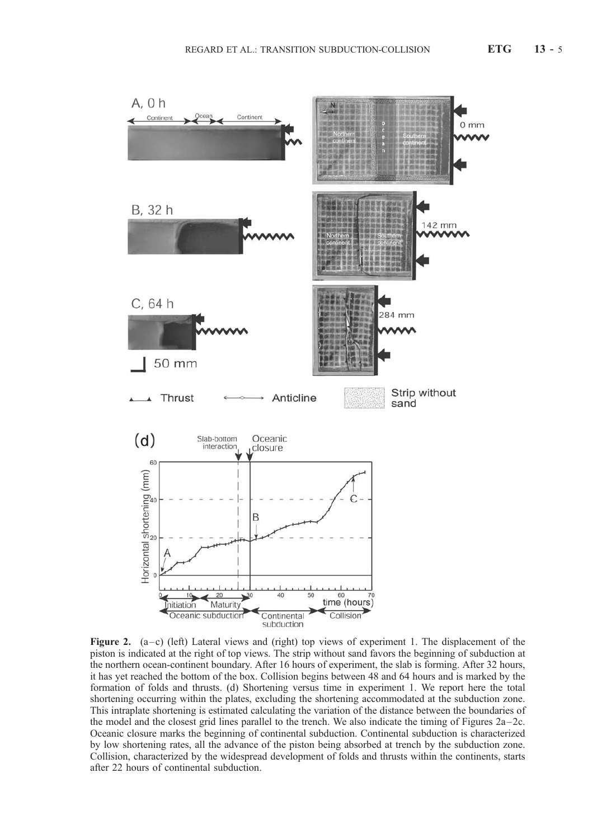

Figure 2.  $(a-c)$  (left) Lateral views and (right) top views of experiment 1. The displacement of the piston is indicated at the right of top views. The strip without sand favors the beginning of subduction at the northern ocean-continent boundary. After 16 hours of experiment, the slab is forming. After 32 hours, it has yet reached the bottom of the box. Collision begins between 48 and 64 hours and is marked by the formation of folds and thrusts. (d) Shortening versus time in experiment 1. We report here the total shortening occurring within the plates, excluding the shortening accommodated at the subduction zone. This intraplate shortening is estimated calculating the variation of the distance between the boundaries of the model and the closest grid lines parallel to the trench. We also indicate the timing of Figures 2a-2c. Oceanic closure marks the beginning of continental subduction. Continental subduction is characterized by low shortening rates, all the advance of the piston being absorbed at trench by the subduction zone. Collision, characterized by the widespread development of folds and thrusts within the continents, starts after 22 hours of continental subduction.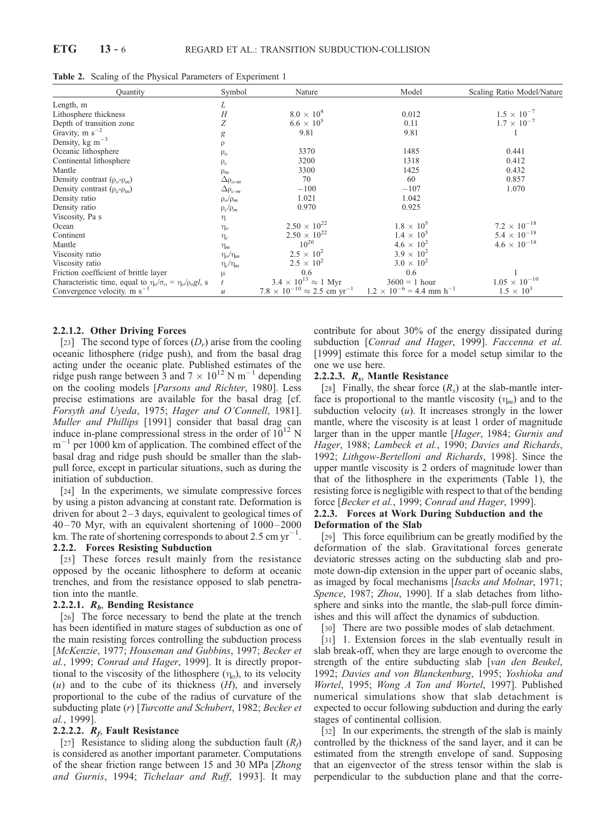|  |  |  |  | Table 2. Scaling of the Physical Parameters of Experiment 1 |  |  |
|--|--|--|--|-------------------------------------------------------------|--|--|
|--|--|--|--|-------------------------------------------------------------|--|--|

| Quantity                                                                | Symbol                    | Nature                                                | Model                                         | Scaling Ratio Model/Nature |
|-------------------------------------------------------------------------|---------------------------|-------------------------------------------------------|-----------------------------------------------|----------------------------|
| Length, m                                                               | L                         |                                                       |                                               |                            |
| Lithosphere thickness                                                   | Н                         | $8.0 \times 10^{4}$                                   | 0.012                                         | $1.5 \times 10^{-7}$       |
| Depth of transition zone                                                | Ζ                         | $6.6 \times 10^{5}$                                   | 0.11                                          | $1.7 \times 10^{-7}$       |
| Gravity, $m s^{-2}$                                                     | g                         | 9.81                                                  | 9.81                                          |                            |
| Density, kg m <sup><math>-3</math></sup>                                | ρ                         |                                                       |                                               |                            |
| Oceanic lithosphere                                                     | $\rho_o$                  | 3370                                                  | 1485                                          | 0.441                      |
| Continental lithosphere                                                 | $\rho_c$                  | 3200                                                  | 1318                                          | 0.412                      |
| Mantle                                                                  | $\rho_m$                  | 3300                                                  | 1425                                          | 0.432                      |
| Density contrast $(\rho_o - \rho_m)$                                    | $\Delta\rho_{o\text{-}m}$ | 70                                                    | 60                                            | 0.857                      |
| Density contrast ( $\rho_c$ - $\rho_m$ )                                | $\Delta\rho_{c-m}$        | $-100$                                                | $-107$                                        | 1.070                      |
| Density ratio                                                           | $\rho_o/\rho_m$           | 1.021                                                 | 1.042                                         |                            |
| Density ratio                                                           | $\rho_c/\rho_m$           | 0.970                                                 | 0.925                                         |                            |
| Viscosity, Pa s                                                         | η                         |                                                       |                                               |                            |
| Ocean                                                                   | $\eta_{o}$                | $2.50 \times 10^{22}$                                 | $1.8 \times 10^{5}$                           | $7.2 \times 10^{-18}$      |
| Continent                                                               | $\eta_c$                  | $2.50 \times 10^{22}$                                 | $1.4 \times 10^{5}$                           | $5.4 \times 10^{-18}$      |
| Mantle                                                                  | $\eta_m$                  | $10^{20}$                                             | $4.6 \times 10^{2}$                           | $4.6 \times 10^{-18}$      |
| Viscosity ratio                                                         | $\eta_o/\eta_m$           | $2.5 \times 10^{2}$                                   | $3.9 \times 10^{2}$                           |                            |
| Viscosity ratio                                                         | $\eta_c/\eta_m$           | $2.5 \times 10^{2}$                                   | $3.0 \times 10^{2}$                           |                            |
| Friction coefficient of brittle layer                                   | μ                         | 0.6                                                   | 0.6                                           |                            |
| Characteristic time, equal to $\eta_o/\sigma_o = \eta_o/\rho_o g l$ , s |                           | $3.4 \times 10^{13} \approx 1$ Myr                    | $3600 = 1$ hour                               | $1.05\,\times\,10^{-10}$   |
| Convergence velocity, m $s^{-1}$                                        | $\mathcal{U}$             | $7.8 \times 10^{-10} \approx 2.5$ cm yr <sup>-1</sup> | $1.2 \times 10^{-6} = 4.4$ mm h <sup>-1</sup> | $1.5 \times 10^{3}$        |

#### 2.2.1.2. Other Driving Forces

[23] The second type of forces  $(D<sub>r</sub>)$  arise from the cooling oceanic lithosphere (ridge push), and from the basal drag acting under the oceanic plate. Published estimates of the ridge push range between  $3$  and  $7 \times 10^{12}$  N m<sup>-1</sup> depending on the cooling models [Parsons and Richter, 1980]. Less precise estimations are available for the basal drag [cf. Forsyth and Uyeda, 1975; Hager and O'Connell, 1981]. Muller and Phillips [1991] consider that basal drag can induce in-plane compressional stress in the order of  $10^{12}$  N  $m^{-1}$  per 1000 km of application. The combined effect of the basal drag and ridge push should be smaller than the slabpull force, except in particular situations, such as during the initiation of subduction.

[24] In the experiments, we simulate compressive forces by using a piston advancing at constant rate. Deformation is driven for about  $2-3$  days, equivalent to geological times of 40– 70 Myr, with an equivalent shortening of 1000 – 2000 km. The rate of shortening corresponds to about 2.5 cm  $yr^{-1}$ .

#### 2.2.2. Forces Resisting Subduction

[25] These forces result mainly from the resistance opposed by the oceanic lithosphere to deform at oceanic trenches, and from the resistance opposed to slab penetration into the mantle.

#### 2.2.2.1.  $R_b$ , Bending Resistance

[26] The force necessary to bend the plate at the trench has been identified in mature stages of subduction as one of the main resisting forces controlling the subduction process [McKenzie, 1977; Houseman and Gubbins, 1997; Becker et al., 1999; Conrad and Hager, 1999]. It is directly proportional to the viscosity of the lithosphere  $(\eta_o)$ , to its velocity  $(u)$  and to the cube of its thickness  $(H)$ , and inversely proportional to the cube of the radius of curvature of the subducting plate (r) [Turcotte and Schubert, 1982; Becker et al., 1999].

#### 2.2.2.2.  $R_f$ , Fault Resistance

[27] Resistance to sliding along the subduction fault  $(R_f)$ is considered as another important parameter. Computations of the shear friction range between 15 and 30 MPa [Zhong and Gurnis, 1994; Tichelaar and Ruff, 1993]. It may

contribute for about 30% of the energy dissipated during subduction [Conrad and Hager, 1999]. Faccenna et al. [1999] estimate this force for a model setup similar to the one we use here.

#### 2.2.2.3.  $R_s$ , Mantle Resistance

[28] Finally, the shear force  $(R_s)$  at the slab-mantle interface is proportional to the mantle viscosity  $(\eta_m)$  and to the subduction velocity  $(u)$ . It increases strongly in the lower mantle, where the viscosity is at least 1 order of magnitude larger than in the upper mantle [Hager, 1984; Gurnis and Hager, 1988; Lambeck et al., 1990; Davies and Richards, 1992; Lithgow-Bertelloni and Richards, 1998]. Since the upper mantle viscosity is 2 orders of magnitude lower than that of the lithosphere in the experiments (Table 1), the resisting force is negligible with respect to that of the bending force [Becker et al., 1999; Conrad and Hager, 1999].

#### 2.2.3. Forces at Work During Subduction and the Deformation of the Slab

[29] This force equilibrium can be greatly modified by the deformation of the slab. Gravitational forces generate deviatoric stresses acting on the subducting slab and promote down-dip extension in the upper part of oceanic slabs, as imaged by focal mechanisms [Isacks and Molnar, 1971; Spence, 1987; Zhou, 1990]. If a slab detaches from lithosphere and sinks into the mantle, the slab-pull force diminishes and this will affect the dynamics of subduction.

[30] There are two possible modes of slab detachment.

[31] 1. Extension forces in the slab eventually result in slab break-off, when they are large enough to overcome the strength of the entire subducting slab [van den Beukel, 1992; Davies and von Blanckenburg, 1995; Yoshioka and Wortel, 1995; Wong A Ton and Wortel, 1997]. Published numerical simulations show that slab detachment is expected to occur following subduction and during the early stages of continental collision.

[32] In our experiments, the strength of the slab is mainly controlled by the thickness of the sand layer, and it can be estimated from the strength envelope of sand. Supposing that an eigenvector of the stress tensor within the slab is perpendicular to the subduction plane and that the corre-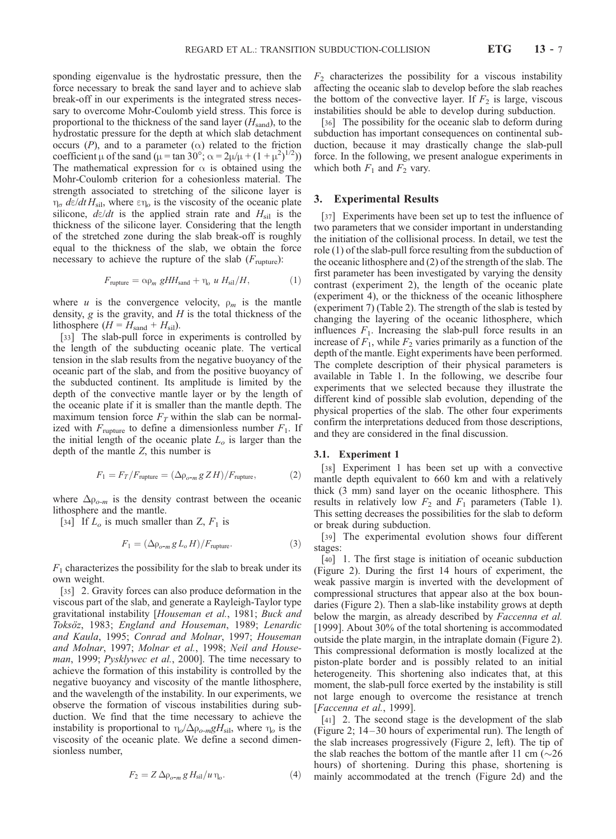sponding eigenvalue is the hydrostatic pressure, then the force necessary to break the sand layer and to achieve slab break-off in our experiments is the integrated stress necessary to overcome Mohr-Coulomb yield stress. This force is proportional to the thickness of the sand layer  $(H_{\text{sand}})$ , to the hydrostatic pressure for the depth at which slab detachment occurs  $(P)$ , and to a parameter  $(\alpha)$  related to the friction coefficient  $\mu$  of the sand  $(\mu = \tan 30^\circ; \alpha = 2\mu/\mu + (1 + \mu^2)^{1/2})$ The mathematical expression for  $\alpha$  is obtained using the Mohr-Coulomb criterion for a cohesionless material. The strength associated to stretching of the silicone layer is  $\eta_{\sigma}$  de/dt H<sub>sil</sub>, where  $\epsilon \eta_{\sigma}$  is the viscosity of the oceanic plate silicone,  $d\varepsilon/dt$  is the applied strain rate and  $H_{\rm sil}$  is the thickness of the silicone layer. Considering that the length of the stretched zone during the slab break-off is roughly equal to the thickness of the slab, we obtain the force necessary to achieve the rupture of the slab  $(F_{\text{rupture}})$ :

$$
F_{\text{rupture}} = \alpha \rho_m \ gHH_{\text{sand}} + \eta_o \ u \ H_{\text{sil}}/H, \tag{1}
$$

where u is the convergence velocity,  $\rho_m$  is the mantle density,  $g$  is the gravity, and  $H$  is the total thickness of the lithosphere  $(H = H_{\text{sand}} + H_{\text{sil}})$ .

[33] The slab-pull force in experiments is controlled by the length of the subducting oceanic plate. The vertical tension in the slab results from the negative buoyancy of the oceanic part of the slab, and from the positive buoyancy of the subducted continent. Its amplitude is limited by the depth of the convective mantle layer or by the length of the oceanic plate if it is smaller than the mantle depth. The maximum tension force  $F_T$  within the slab can be normalized with  $F_{\text{rupture}}$  to define a dimensionless number  $F_1$ . If the initial length of the oceanic plate  $L<sub>o</sub>$  is larger than the depth of the mantle Z, this number is

$$
F_1 = F_T/F_{\text{rupture}} = (\Delta \rho_{o-m} g Z H)/F_{\text{rupture}},\tag{2}
$$

where  $\Delta\rho_{o-m}$  is the density contrast between the oceanic lithosphere and the mantle.

[34] If  $L_0$  is much smaller than Z,  $F_1$  is

$$
F_1 = \left(\Delta \rho_{o-m} \, g \, L_o \, H\right) / F_{\text{rupture}}.\tag{3}
$$

 $F_1$  characterizes the possibility for the slab to break under its own weight.

[35] 2. Gravity forces can also produce deformation in the viscous part of the slab, and generate a Rayleigh-Taylor type gravitational instability [Houseman et al., 1981; Buck and Toksöz, 1983; England and Houseman, 1989; Lenardic and Kaula, 1995; Conrad and Molnar, 1997; Houseman and Molnar, 1997; Molnar et al., 1998; Neil and Houseman, 1999; Pysklywec et al., 2000]. The time necessary to achieve the formation of this instability is controlled by the negative buoyancy and viscosity of the mantle lithosphere, and the wavelength of the instability. In our experiments, we observe the formation of viscous instabilities during subduction. We find that the time necessary to achieve the instability is proportional to  $\eta_o/\Delta\rho_{o-mg}H_{\text{sil}}$ , where  $\eta_o$  is the viscosity of the oceanic plate. We define a second dimensionless number,

$$
F_2 = Z \Delta \rho_{o-m} g H_{\rm sil} / u \eta_o. \tag{4}
$$

 $F<sub>2</sub>$  characterizes the possibility for a viscous instability affecting the oceanic slab to develop before the slab reaches the bottom of the convective layer. If  $F_2$  is large, viscous instabilities should be able to develop during subduction.

[36] The possibility for the oceanic slab to deform during subduction has important consequences on continental subduction, because it may drastically change the slab-pull force. In the following, we present analogue experiments in which both  $F_1$  and  $F_2$  vary.

#### 3. Experimental Results

[37] Experiments have been set up to test the influence of two parameters that we consider important in understanding the initiation of the collisional process. In detail, we test the role (1) of the slab-pull force resulting from the subduction of the oceanic lithosphere and (2) of the strength of the slab. The first parameter has been investigated by varying the density contrast (experiment 2), the length of the oceanic plate (experiment 4), or the thickness of the oceanic lithosphere (experiment 7) (Table 2). The strength of the slab is tested by changing the layering of the oceanic lithosphere, which influences  $F_1$ . Increasing the slab-pull force results in an increase of  $F_1$ , while  $F_2$  varies primarily as a function of the depth of the mantle. Eight experiments have been performed. The complete description of their physical parameters is available in Table 1. In the following, we describe four experiments that we selected because they illustrate the different kind of possible slab evolution, depending of the physical properties of the slab. The other four experiments confirm the interpretations deduced from those descriptions, and they are considered in the final discussion.

#### 3.1. Experiment 1

[38] Experiment 1 has been set up with a convective mantle depth equivalent to 660 km and with a relatively thick (3 mm) sand layer on the oceanic lithosphere. This results in relatively low  $F_2$  and  $F_1$  parameters (Table 1). This setting decreases the possibilities for the slab to deform or break during subduction.

[39] The experimental evolution shows four different stages:

[40] 1. The first stage is initiation of oceanic subduction (Figure 2). During the first 14 hours of experiment, the weak passive margin is inverted with the development of compressional structures that appear also at the box boundaries (Figure 2). Then a slab-like instability grows at depth below the margin, as already described by *Faccenna et al.* [1999]. About 30% of the total shortening is accommodated outside the plate margin, in the intraplate domain (Figure 2). This compressional deformation is mostly localized at the piston-plate border and is possibly related to an initial heterogeneity. This shortening also indicates that, at this moment, the slab-pull force exerted by the instability is still not large enough to overcome the resistance at trench [Faccenna et al., 1999].

[41] 2. The second stage is the development of the slab (Figure 2; 14– 30 hours of experimental run). The length of the slab increases progressively (Figure 2, left). The tip of the slab reaches the bottom of the mantle after 11 cm  $(\sim 26)$ hours) of shortening. During this phase, shortening is mainly accommodated at the trench (Figure 2d) and the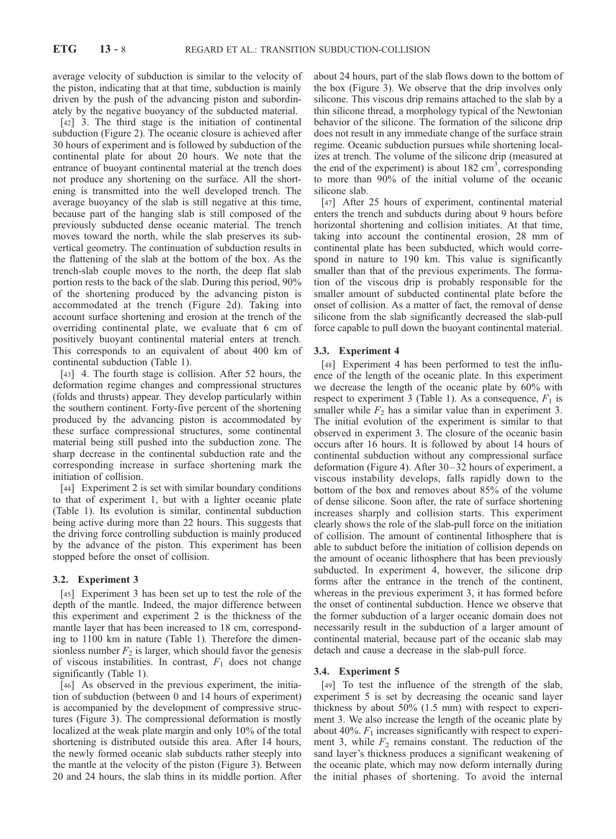average velocity of subduction is similar to the velocity of the piston, indicating that at that time, subduction is mainly driven by the push of the advancing piston and subordinately by the negative buoyancy of the subducted material.

[42] 3. The third stage is the initiation of continental subduction (Figure 2). The oceanic closure is achieved after 30 hours of experiment and is followed by subduction of the continental plate for about 20 hours. We note that the entrance of buoyant continental material at the trench does not produce any shortening on the surface. All the shortening is transmitted into the well developed trench. The average buoyancy of the slab is still negative at this time, because part of the hanging slab is still composed of the previously subducted dense oceanic material. The trench moves toward the north, while the slab preserves its subvertical geometry. The continuation of subduction results in the flattening of the slab at the bottom of the box. As the trench-slab couple moves to the north, the deep flat slab portion rests to the back of the slab. During this period, 90% of the shortening produced by the advancing piston is accommodated at the trench (Figure 2d). Taking into account surface shortening and erosion at the trench of the overriding continental plate, we evaluate that 6 cm of positively buoyant continental material enters at trench. This corresponds to an equivalent of about 400 km of continental subduction (Table 1).

[43] 4. The fourth stage is collision. After 52 hours, the deformation regime changes and compressional structures (folds and thrusts) appear. They develop particularly within the southern continent. Forty-five percent of the shortening produced by the advancing piston is accommodated by these surface compressional structures, some continental material being still pushed into the subduction zone. The sharp decrease in the continental subduction rate and the corresponding increase in surface shortening mark the initiation of collision.

[44] Experiment 2 is set with similar boundary conditions to that of experiment 1, but with a lighter oceanic plate (Table 1). Its evolution is similar, continental subduction being active during more than 22 hours. This suggests that the driving force controlling subduction is mainly produced by the advance of the piston. This experiment has been stopped before the onset of collision.

#### 3.2. Experiment 3

[45] Experiment 3 has been set up to test the role of the depth of the mantle. Indeed, the major difference between this experiment and experiment 2 is the thickness of the mantle layer that has been increased to 18 cm, corresponding to 1100 km in nature (Table 1). Therefore the dimensionless number  $F_2$  is larger, which should favor the genesis of viscous instabilities. In contrast,  $F_1$  does not change significantly (Table 1).

[46] As observed in the previous experiment, the initiation of subduction (between 0 and 14 hours of experiment) is accompanied by the development of compressive structures (Figure 3). The compressional deformation is mostly localized at the weak plate margin and only 10% of the total shortening is distributed outside this area. After 14 hours, the newly formed oceanic slab subducts rather steeply into the mantle at the velocity of the piston (Figure 3). Between 20 and 24 hours, the slab thins in its middle portion. After

about 24 hours, part of the slab flows down to the bottom of the box (Figure 3). We observe that the drip involves only silicone. This viscous drip remains attached to the slab by a thin silicone thread, a morphology typical of the Newtonian behavior of the silicone. The formation of the silicone drip does not result in any immediate change of the surface strain regime. Oceanic subduction pursues while shortening localizes at trench. The volume of the silicone drip (measured at the end of the experiment) is about  $182 \text{ cm}^3$ , corresponding to more than 90% of the initial volume of the oceanic silicone slab.

[47] After 25 hours of experiment, continental material enters the trench and subducts during about 9 hours before horizontal shortening and collision initiates. At that time, taking into account the continental erosion, 28 mm of continental plate has been subducted, which would correspond in nature to 190 km. This value is significantly smaller than that of the previous experiments. The formation of the viscous drip is probably responsible for the smaller amount of subducted continental plate before the onset of collision. As a matter of fact, the removal of dense silicone from the slab significantly decreased the slab-pull force capable to pull down the buoyant continental material.

#### 3.3. Experiment 4

[48] Experiment 4 has been performed to test the influence of the length of the oceanic plate. In this experiment we decrease the length of the oceanic plate by 60% with respect to experiment 3 (Table 1). As a consequence,  $F_1$  is smaller while  $F_2$  has a similar value than in experiment 3. The initial evolution of the experiment is similar to that observed in experiment 3. The closure of the oceanic basin occurs after 16 hours. It is followed by about 14 hours of continental subduction without any compressional surface deformation (Figure 4). After 30– 32 hours of experiment, a viscous instability develops, falls rapidly down to the bottom of the box and removes about 85% of the volume of dense silicone. Soon after, the rate of surface shortening increases sharply and collision starts. This experiment clearly shows the role of the slab-pull force on the initiation of collision. The amount of continental lithosphere that is able to subduct before the initiation of collision depends on the amount of oceanic lithosphere that has been previously subducted. In experiment 4, however, the silicone drip forms after the entrance in the trench of the continent, whereas in the previous experiment 3, it has formed before the onset of continental subduction. Hence we observe that the former subduction of a larger oceanic domain does not necessarily result in the subduction of a larger amount of continental material, because part of the oceanic slab may detach and cause a decrease in the slab-pull force.

#### 3.4. Experiment 5

[49] To test the influence of the strength of the slab, experiment 5 is set by decreasing the oceanic sand layer thickness by about 50% (1.5 mm) with respect to experiment 3. We also increase the length of the oceanic plate by about 40%.  $F_1$  increases significantly with respect to experiment 3, while  $F_2$  remains constant. The reduction of the sand layer's thickness produces a significant weakening of the oceanic plate, which may now deform internally during the initial phases of shortening. To avoid the internal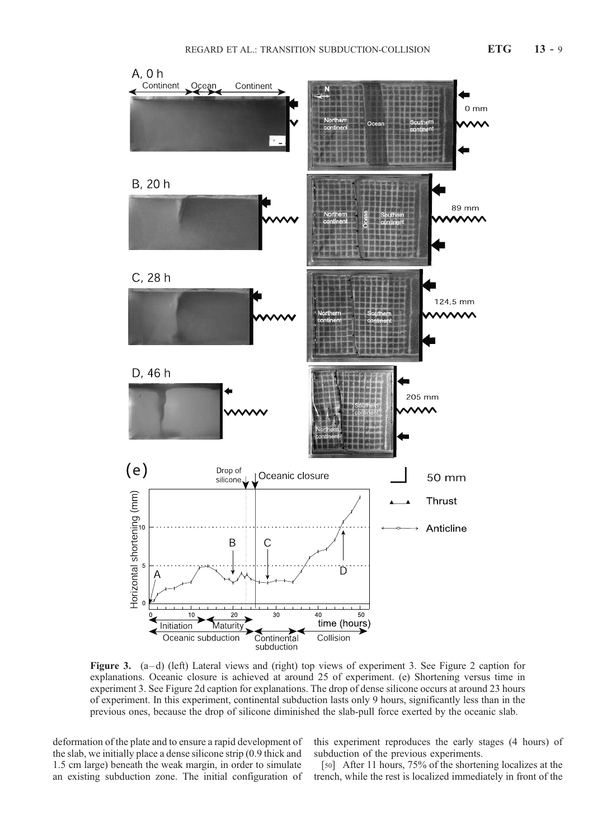

Figure 3. (a-d) (left) Lateral views and (right) top views of experiment 3. See Figure 2 caption for explanations. Oceanic closure is achieved at around 25 of experiment. (e) Shortening versus time in experiment 3. See Figure 2d caption for explanations. The drop of dense silicone occurs at around 23 hours of experiment. In this experiment, continental subduction lasts only 9 hours, significantly less than in the previous ones, because the drop of silicone diminished the slab-pull force exerted by the oceanic slab.

deformation of the plate and to ensure a rapid development of the slab, we initially place a dense silicone strip (0.9 thick and 1.5 cm large) beneath the weak margin, in order to simulate an existing subduction zone. The initial configuration of this experiment reproduces the early stages (4 hours) of subduction of the previous experiments.

[50] After 11 hours, 75% of the shortening localizes at the trench, while the rest is localized immediately in front of the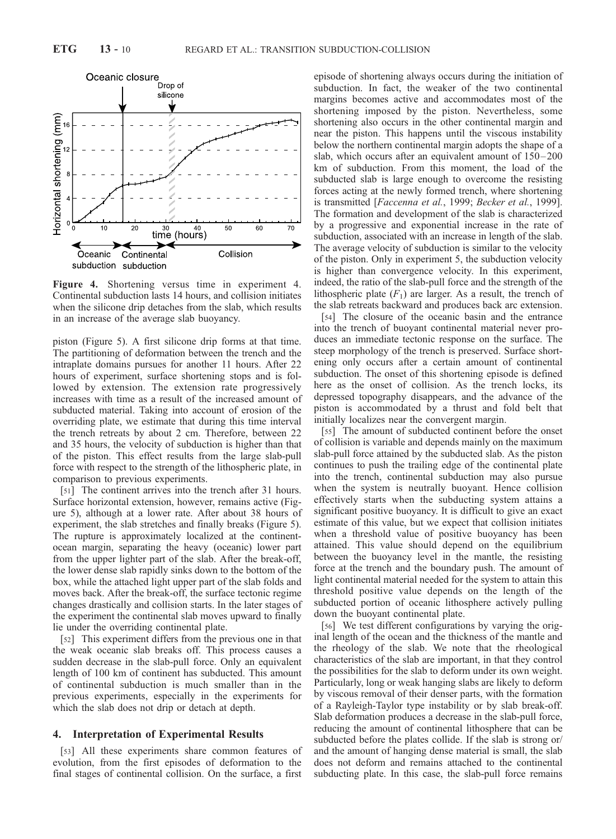

Figure 4. Shortening versus time in experiment 4. Continental subduction lasts 14 hours, and collision initiates when the silicone drip detaches from the slab, which results in an increase of the average slab buoyancy.

piston (Figure 5). A first silicone drip forms at that time. The partitioning of deformation between the trench and the intraplate domains pursues for another 11 hours. After 22 hours of experiment, surface shortening stops and is followed by extension. The extension rate progressively increases with time as a result of the increased amount of subducted material. Taking into account of erosion of the overriding plate, we estimate that during this time interval the trench retreats by about 2 cm. Therefore, between 22 and 35 hours, the velocity of subduction is higher than that of the piston. This effect results from the large slab-pull force with respect to the strength of the lithospheric plate, in comparison to previous experiments.

[51] The continent arrives into the trench after 31 hours. Surface horizontal extension, however, remains active (Figure 5), although at a lower rate. After about 38 hours of experiment, the slab stretches and finally breaks (Figure 5). The rupture is approximately localized at the continentocean margin, separating the heavy (oceanic) lower part from the upper lighter part of the slab. After the break-off, the lower dense slab rapidly sinks down to the bottom of the box, while the attached light upper part of the slab folds and moves back. After the break-off, the surface tectonic regime changes drastically and collision starts. In the later stages of the experiment the continental slab moves upward to finally lie under the overriding continental plate.

[52] This experiment differs from the previous one in that the weak oceanic slab breaks off. This process causes a sudden decrease in the slab-pull force. Only an equivalent length of 100 km of continent has subducted. This amount of continental subduction is much smaller than in the previous experiments, especially in the experiments for which the slab does not drip or detach at depth.

#### 4. Interpretation of Experimental Results

[53] All these experiments share common features of evolution, from the first episodes of deformation to the final stages of continental collision. On the surface, a first

episode of shortening always occurs during the initiation of subduction. In fact, the weaker of the two continental margins becomes active and accommodates most of the shortening imposed by the piston. Nevertheless, some shortening also occurs in the other continental margin and near the piston. This happens until the viscous instability below the northern continental margin adopts the shape of a slab, which occurs after an equivalent amount of  $150-200$ km of subduction. From this moment, the load of the subducted slab is large enough to overcome the resisting forces acting at the newly formed trench, where shortening is transmitted [Faccenna et al., 1999; Becker et al., 1999]. The formation and development of the slab is characterized by a progressive and exponential increase in the rate of subduction, associated with an increase in length of the slab. The average velocity of subduction is similar to the velocity of the piston. Only in experiment 5, the subduction velocity is higher than convergence velocity. In this experiment, indeed, the ratio of the slab-pull force and the strength of the lithospheric plate  $(F_1)$  are larger. As a result, the trench of the slab retreats backward and produces back arc extension.

[54] The closure of the oceanic basin and the entrance into the trench of buoyant continental material never produces an immediate tectonic response on the surface. The steep morphology of the trench is preserved. Surface shortening only occurs after a certain amount of continental subduction. The onset of this shortening episode is defined here as the onset of collision. As the trench locks, its depressed topography disappears, and the advance of the piston is accommodated by a thrust and fold belt that initially localizes near the convergent margin.

[55] The amount of subducted continent before the onset of collision is variable and depends mainly on the maximum slab-pull force attained by the subducted slab. As the piston continues to push the trailing edge of the continental plate into the trench, continental subduction may also pursue when the system is neutrally buoyant. Hence collision effectively starts when the subducting system attains a significant positive buoyancy. It is difficult to give an exact estimate of this value, but we expect that collision initiates when a threshold value of positive buoyancy has been attained. This value should depend on the equilibrium between the buoyancy level in the mantle, the resisting force at the trench and the boundary push. The amount of light continental material needed for the system to attain this threshold positive value depends on the length of the subducted portion of oceanic lithosphere actively pulling down the buoyant continental plate.

[56] We test different configurations by varying the original length of the ocean and the thickness of the mantle and the rheology of the slab. We note that the rheological characteristics of the slab are important, in that they control the possibilities for the slab to deform under its own weight. Particularly, long or weak hanging slabs are likely to deform by viscous removal of their denser parts, with the formation of a Rayleigh-Taylor type instability or by slab break-off. Slab deformation produces a decrease in the slab-pull force, reducing the amount of continental lithosphere that can be subducted before the plates collide. If the slab is strong or/ and the amount of hanging dense material is small, the slab does not deform and remains attached to the continental subducting plate. In this case, the slab-pull force remains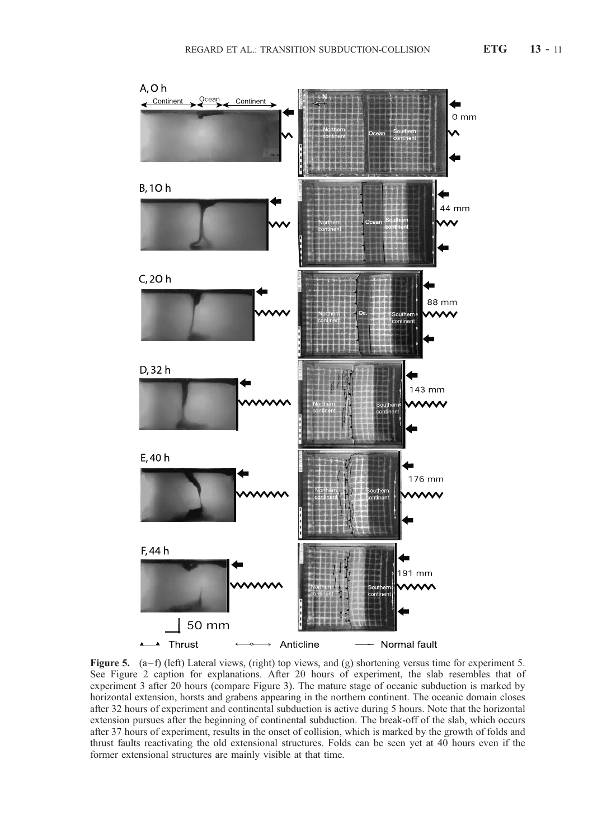

Figure 5.  $(a-f)$  (left) Lateral views, (right) top views, and (g) shortening versus time for experiment 5. See Figure 2 caption for explanations. After 20 hours of experiment, the slab resembles that of experiment 3 after 20 hours (compare Figure 3). The mature stage of oceanic subduction is marked by horizontal extension, horsts and grabens appearing in the northern continent. The oceanic domain closes after 32 hours of experiment and continental subduction is active during 5 hours. Note that the horizontal extension pursues after the beginning of continental subduction. The break-off of the slab, which occurs after 37 hours of experiment, results in the onset of collision, which is marked by the growth of folds and thrust faults reactivating the old extensional structures. Folds can be seen yet at 40 hours even if the former extensional structures are mainly visible at that time.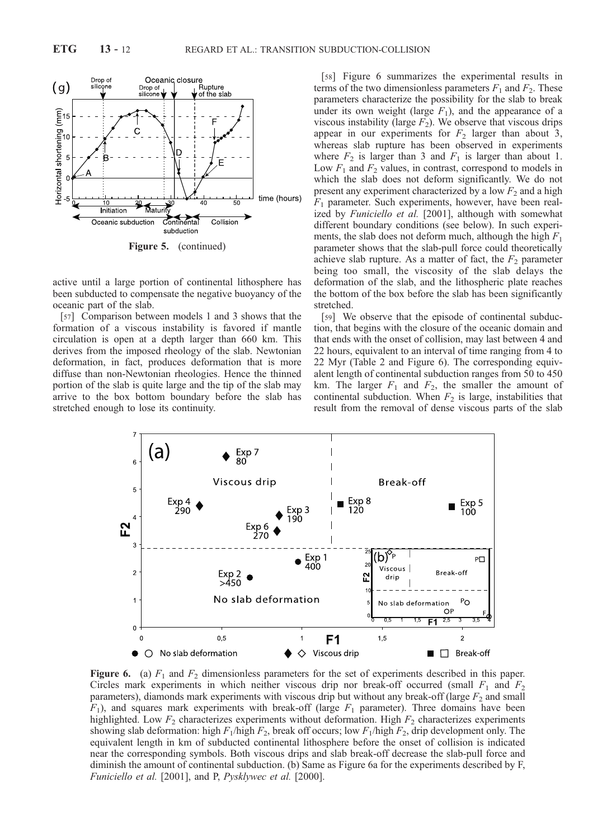

active until a large portion of continental lithosphere has been subducted to compensate the negative buoyancy of the oceanic part of the slab.

[57] Comparison between models 1 and 3 shows that the formation of a viscous instability is favored if mantle circulation is open at a depth larger than 660 km. This derives from the imposed rheology of the slab. Newtonian deformation, in fact, produces deformation that is more diffuse than non-Newtonian rheologies. Hence the thinned portion of the slab is quite large and the tip of the slab may arrive to the box bottom boundary before the slab has stretched enough to lose its continuity.

[58] Figure 6 summarizes the experimental results in terms of the two dimensionless parameters  $F_1$  and  $F_2$ . These parameters characterize the possibility for the slab to break under its own weight (large  $F_1$ ), and the appearance of a viscous instability (large  $F_2$ ). We observe that viscous drips appear in our experiments for  $F_2$  larger than about 3, whereas slab rupture has been observed in experiments where  $F_2$  is larger than 3 and  $F_1$  is larger than about 1. Low  $F_1$  and  $F_2$  values, in contrast, correspond to models in which the slab does not deform significantly. We do not present any experiment characterized by a low  $F_2$  and a high  $F_1$  parameter. Such experiments, however, have been realized by Funiciello et al. [2001], although with somewhat different boundary conditions (see below). In such experiments, the slab does not deform much, although the high  $F_1$ parameter shows that the slab-pull force could theoretically achieve slab rupture. As a matter of fact, the  $F<sub>2</sub>$  parameter being too small, the viscosity of the slab delays the deformation of the slab, and the lithospheric plate reaches the bottom of the box before the slab has been significantly stretched.

[59] We observe that the episode of continental subduction, that begins with the closure of the oceanic domain and that ends with the onset of collision, may last between 4 and 22 hours, equivalent to an interval of time ranging from 4 to 22 Myr (Table 2 and Figure 6). The corresponding equivalent length of continental subduction ranges from 50 to 450 km. The larger  $F_1$  and  $F_2$ , the smaller the amount of continental subduction. When  $F_2$  is large, instabilities that result from the removal of dense viscous parts of the slab



**Figure 6.** (a)  $F_1$  and  $F_2$  dimensionless parameters for the set of experiments described in this paper. Circles mark experiments in which neither viscous drip nor break-off occurred (small  $F_1$  and  $F_2$ parameters), diamonds mark experiments with viscous drip but without any break-off (large  $F_2$  and small  $F_1$ ), and squares mark experiments with break-off (large  $F_1$  parameter). Three domains have been highlighted. Low  $F_2$  characterizes experiments without deformation. High  $F_2$  characterizes experiments showing slab deformation: high  $F_1$ /high  $F_2$ , break off occurs; low  $F_1$ /high  $F_2$ , drip development only. The equivalent length in km of subducted continental lithosphere before the onset of collision is indicated near the corresponding symbols. Both viscous drips and slab break-off decrease the slab-pull force and diminish the amount of continental subduction. (b) Same as Figure 6a for the experiments described by F, Funiciello et al. [2001], and P, Pysklywec et al. [2000].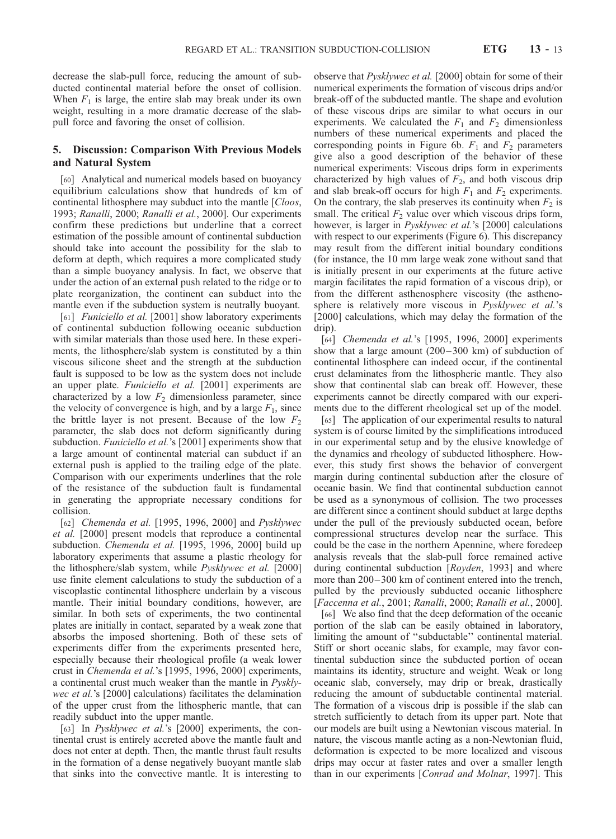decrease the slab-pull force, reducing the amount of subducted continental material before the onset of collision. When  $F_1$  is large, the entire slab may break under its own weight, resulting in a more dramatic decrease of the slabpull force and favoring the onset of collision.

#### 5. Discussion: Comparison With Previous Models and Natural System

[60] Analytical and numerical models based on buoyancy equilibrium calculations show that hundreds of km of continental lithosphere may subduct into the mantle [Cloos, 1993; Ranalli, 2000; Ranalli et al., 2000]. Our experiments confirm these predictions but underline that a correct estimation of the possible amount of continental subduction should take into account the possibility for the slab to deform at depth, which requires a more complicated study than a simple buoyancy analysis. In fact, we observe that under the action of an external push related to the ridge or to plate reorganization, the continent can subduct into the mantle even if the subduction system is neutrally buoyant.

[61] Funiciello et al. [2001] show laboratory experiments of continental subduction following oceanic subduction with similar materials than those used here. In these experiments, the lithosphere/slab system is constituted by a thin viscous silicone sheet and the strength at the subduction fault is supposed to be low as the system does not include an upper plate. Funiciello et al. [2001] experiments are characterized by a low  $F_2$  dimensionless parameter, since the velocity of convergence is high, and by a large  $F_1$ , since the brittle layer is not present. Because of the low  $F_2$ parameter, the slab does not deform significantly during subduction. Funiciello et al.'s [2001] experiments show that a large amount of continental material can subduct if an external push is applied to the trailing edge of the plate. Comparison with our experiments underlines that the role of the resistance of the subduction fault is fundamental in generating the appropriate necessary conditions for collision.

[62] Chemenda et al. [1995, 1996, 2000] and Pysklywec et al. [2000] present models that reproduce a continental subduction. Chemenda et al. [1995, 1996, 2000] build up laboratory experiments that assume a plastic rheology for the lithosphere/slab system, while Pysklywec et al. [2000] use finite element calculations to study the subduction of a viscoplastic continental lithosphere underlain by a viscous mantle. Their initial boundary conditions, however, are similar. In both sets of experiments, the two continental plates are initially in contact, separated by a weak zone that absorbs the imposed shortening. Both of these sets of experiments differ from the experiments presented here, especially because their rheological profile (a weak lower crust in Chemenda et al.'s [1995, 1996, 2000] experiments, a continental crust much weaker than the mantle in Pysklywec et al.'s [2000] calculations) facilitates the delamination of the upper crust from the lithospheric mantle, that can readily subduct into the upper mantle.

[63] In *Pysklywec et al.*'s [2000] experiments, the continental crust is entirely accreted above the mantle fault and does not enter at depth. Then, the mantle thrust fault results in the formation of a dense negatively buoyant mantle slab that sinks into the convective mantle. It is interesting to

observe that Pysklywec et al. [2000] obtain for some of their numerical experiments the formation of viscous drips and/or break-off of the subducted mantle. The shape and evolution of these viscous drips are similar to what occurs in our experiments. We calculated the  $F_1$  and  $F_2$  dimensionless numbers of these numerical experiments and placed the corresponding points in Figure 6b.  $F_1$  and  $F_2$  parameters give also a good description of the behavior of these numerical experiments: Viscous drips form in experiments characterized by high values of  $F_2$ , and both viscous drip and slab break-off occurs for high  $F_1$  and  $F_2$  experiments. On the contrary, the slab preserves its continuity when  $F_2$  is small. The critical  $F_2$  value over which viscous drips form, however, is larger in *Pysklywec et al.*'s [2000] calculations with respect to our experiments (Figure 6). This discrepancy may result from the different initial boundary conditions (for instance, the 10 mm large weak zone without sand that is initially present in our experiments at the future active margin facilitates the rapid formation of a viscous drip), or from the different asthenosphere viscosity (the asthenosphere is relatively more viscous in Pysklywec et al.'s [2000] calculations, which may delay the formation of the drip).

[64] Chemenda et al.'s [1995, 1996, 2000] experiments show that a large amount  $(200-300 \text{ km})$  of subduction of continental lithosphere can indeed occur, if the continental crust delaminates from the lithospheric mantle. They also show that continental slab can break off. However, these experiments cannot be directly compared with our experiments due to the different rheological set up of the model.

[65] The application of our experimental results to natural system is of course limited by the simplifications introduced in our experimental setup and by the elusive knowledge of the dynamics and rheology of subducted lithosphere. However, this study first shows the behavior of convergent margin during continental subduction after the closure of oceanic basin. We find that continental subduction cannot be used as a synonymous of collision. The two processes are different since a continent should subduct at large depths under the pull of the previously subducted ocean, before compressional structures develop near the surface. This could be the case in the northern Apennine, where foredeep analysis reveals that the slab-pull force remained active during continental subduction [Royden, 1993] and where more than  $200-300$  km of continent entered into the trench, pulled by the previously subducted oceanic lithosphere [Faccenna et al., 2001; Ranalli, 2000; Ranalli et al., 2000].

[66] We also find that the deep deformation of the oceanic portion of the slab can be easily obtained in laboratory, limiting the amount of ''subductable'' continental material. Stiff or short oceanic slabs, for example, may favor continental subduction since the subducted portion of ocean maintains its identity, structure and weight. Weak or long oceanic slab, conversely, may drip or break, drastically reducing the amount of subductable continental material. The formation of a viscous drip is possible if the slab can stretch sufficiently to detach from its upper part. Note that our models are built using a Newtonian viscous material. In nature, the viscous mantle acting as a non-Newtonian fluid, deformation is expected to be more localized and viscous drips may occur at faster rates and over a smaller length than in our experiments [Conrad and Molnar, 1997]. This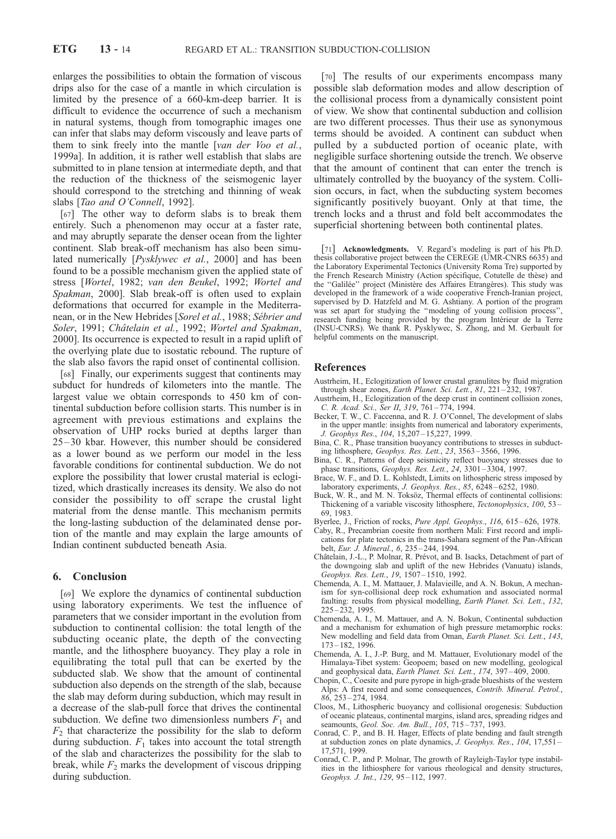enlarges the possibilities to obtain the formation of viscous drips also for the case of a mantle in which circulation is limited by the presence of a 660-km-deep barrier. It is difficult to evidence the occurrence of such a mechanism in natural systems, though from tomographic images one can infer that slabs may deform viscously and leave parts of them to sink freely into the mantle [van der Voo et al., 1999a]. In addition, it is rather well establish that slabs are submitted to in plane tension at intermediate depth, and that the reduction of the thickness of the seismogenic layer should correspond to the stretching and thinning of weak slabs [Tao and O'Connell, 1992].

[67] The other way to deform slabs is to break them entirely. Such a phenomenon may occur at a faster rate, and may abruptly separate the denser ocean from the lighter continent. Slab break-off mechanism has also been simulated numerically [Pysklywec et al., 2000] and has been found to be a possible mechanism given the applied state of stress [Wortel, 1982; van den Beukel, 1992; Wortel and Spakman, 2000]. Slab break-off is often used to explain deformations that occurred for example in the Mediterranean, or in the New Hebrides [Sorel et al., 1988; Sébrier and Soler, 1991; Châtelain et al., 1992; Wortel and Spakman, 2000]. Its occurrence is expected to result in a rapid uplift of the overlying plate due to isostatic rebound. The rupture of the slab also favors the rapid onset of continental collision.

[68] Finally, our experiments suggest that continents may subduct for hundreds of kilometers into the mantle. The largest value we obtain corresponds to 450 km of continental subduction before collision starts. This number is in agreement with previous estimations and explains the observation of UHP rocks buried at depths larger than 25– 30 kbar. However, this number should be considered as a lower bound as we perform our model in the less favorable conditions for continental subduction. We do not explore the possibility that lower crustal material is eclogitized, which drastically increases its density. We also do not consider the possibility to off scrape the crustal light material from the dense mantle. This mechanism permits the long-lasting subduction of the delaminated dense portion of the mantle and may explain the large amounts of Indian continent subducted beneath Asia.

#### 6. Conclusion

[69] We explore the dynamics of continental subduction using laboratory experiments. We test the influence of parameters that we consider important in the evolution from subduction to continental collision: the total length of the subducting oceanic plate, the depth of the convecting mantle, and the lithosphere buoyancy. They play a role in equilibrating the total pull that can be exerted by the subducted slab. We show that the amount of continental subduction also depends on the strength of the slab, because the slab may deform during subduction, which may result in a decrease of the slab-pull force that drives the continental subduction. We define two dimensionless numbers  $F_1$  and  $F<sub>2</sub>$  that characterize the possibility for the slab to deform during subduction.  $F_1$  takes into account the total strength of the slab and characterizes the possibility for the slab to break, while  $F_2$  marks the development of viscous dripping during subduction.

[70] The results of our experiments encompass many possible slab deformation modes and allow description of the collisional process from a dynamically consistent point of view. We show that continental subduction and collision are two different processes. Thus their use as synonymous terms should be avoided. A continent can subduct when pulled by a subducted portion of oceanic plate, with negligible surface shortening outside the trench. We observe that the amount of continent that can enter the trench is ultimately controlled by the buoyancy of the system. Collision occurs, in fact, when the subducting system becomes significantly positively buoyant. Only at that time, the trench locks and a thrust and fold belt accommodates the superficial shortening between both continental plates.

[71] **Acknowledgments.** V. Regard's modeling is part of his Ph.D. thesis collaborative project between the CEREGE (UMR-CNRS 6635) and the Laboratory Experimental Tectonics (University Roma Tre) supported by the French Research Ministry (Action spécifique, Cotutelle de thèse) and the "Galilée" project (Ministère des Affaires Etrangères). This study was developed in the framework of a wide cooperative French-Iranian project, supervised by D. Hatzfeld and M. G. Ashtiany. A portion of the program was set apart for studying the ''modeling of young collision process'', research funding being provided by the program Intérieur de la Terre (INSU-CNRS). We thank R. Pysklywec, S. Zhong, and M. Gerbault for helpful comments on the manuscript.

#### References

- Austrheim, H., Eclogitization of lower crustal granulites by fluid migration through shear zones, Earth Planet. Sci. Lett., 81, 221-232, 1987.
- Austrheim, H., Eclogitization of the deep crust in continent collision zones, C. R. Acad. Sci., Ser II, 319, 761 – 774, 1994.
- Becker, T. W., C. Faccenna, and R. J. O'Connel, The development of slabs in the upper mantle: insights from numerical and laboratory experiments, J. Geophys Res., 104, 15,207 – 15,227, 1999.
- Bina, C. R., Phase transition buoyancy contributions to stresses in subducting lithosphere, Geophys. Res. Lett., 23, 3563 – 3566, 1996.
- Bina, C. R., Patterns of deep seismicity reflect buoyancy stresses due to phase transitions, Geophys. Res. Lett., 24, 3301 – 3304, 1997.
- Brace, W. F., and D. L. Kohlstedt, Limits on lithospheric stress imposed by laboratory experiments, J. Geophys. Res., 85, 6248 – 6252, 1980.
- Buck, W. R., and M. N. Toksöz, Thermal effects of continental collisions: Thickening of a variable viscosity lithosphere, Tectonophysics, 100, 53 – 69, 1983.
- Byerlee, J., Friction of rocks, Pure Appl. Geophys., 116, 615-626, 1978.
- Caby, R., Precambrian coesite from northern Mali: First record and implications for plate tectonics in the trans-Sahara segment of the Pan-African belt, *Eur. J. Mineral.*, 6, 235 – 244, 1994.
- Châtelain, J.-L., P. Molnar, R. Prévot, and B. Isacks, Detachment of part of the downgoing slab and uplift of the new Hebrides (Vanuatu) islands, Geophys. Res. Lett., 19, 1507-1510, 1992.
- Chemenda, A. I., M. Mattauer, J. Malavieille, and A. N. Bokun, A mechanism for syn-collisional deep rock exhumation and associated normal faulting: results from physical modelling, Earth Planet. Sci. Lett., 132,  $225 - 232$ , 1995.
- Chemenda, A. I., M. Mattauer, and A. N. Bokun, Continental subduction and a mechanism for exhumation of high pressure metamorphic rocks: New modelling and field data from Oman, Earth Planet. Sci. Lett., 143, 173 – 182, 1996.
- Chemenda, A. I., J.-P. Burg, and M. Mattauer, Evolutionary model of the Himalaya-Tibet system: Geopoem; based on new modelling, geological and geophysical data, Earth Planet. Sci. Lett., 174, 397-409, 2000.
- Chopin, C., Coesite and pure pyrope in high-grade blueshists of the western Alps: A first record and some consequences, Contrib. Mineral. Petrol., 86, 253 – 274, 1984.
- Cloos, M., Lithospheric buoyancy and collisional orogenesis: Subduction of oceanic plateaus, continental margins, island arcs, spreading ridges and seamounts, Geol. Soc. Am. Bull., 105, 715-737, 1993.
- Conrad, C. P., and B. H. Hager, Effects of plate bending and fault strength at subduction zones on plate dynamics, J. Geophys. Res., 104, 17,551-17,571, 1999.
- Conrad, C. P., and P. Molnar, The growth of Rayleigh-Taylor type instabilities in the lithiosphere for various rheological and density structures, Geophys. J. Int., 129, 95-112, 1997.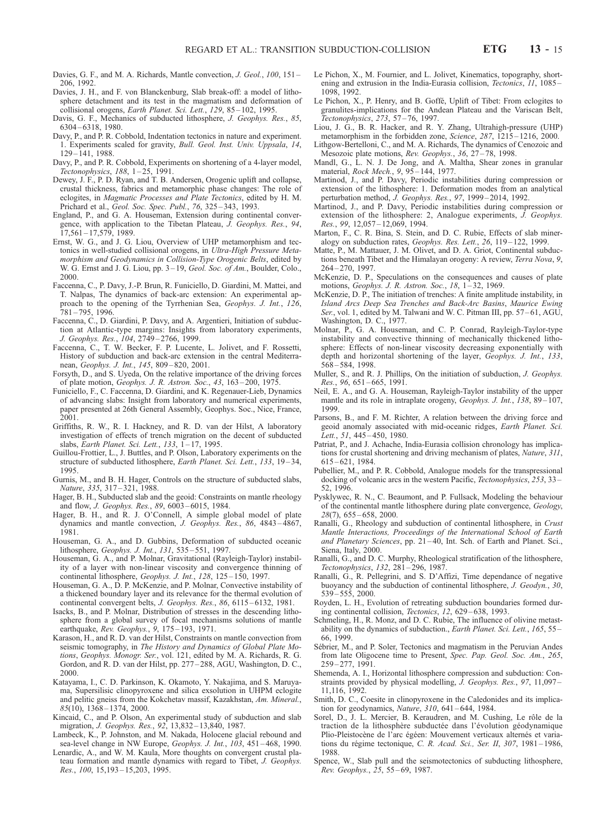Davies, G. F., and M. A. Richards, Mantle convection, J. Geol., 100, 151-206, 1992.

- Davies, J. H., and F. von Blanckenburg, Slab break-off: a model of lithosphere detachment and its test in the magmatism and deformation of collisional orogens, Earth Planet. Sci. Lett., 129, 85-102, 1995.
- Davis, G. F., Mechanics of subducted lithosphere, J. Geophys. Res., 85, 6304 – 6318, 1980.
- Davy, P., and P. R. Cobbold, Indentation tectonics in nature and experiment. 1. Experiments scaled for gravity, Bull. Geol. Inst. Univ. Uppsala, 14,  $129 - 141, 1988.$
- Davy, P., and P. R. Cobbold, Experiments on shortening of a 4-layer model, Tectonophysics, 188, 1-25, 1991.
- Dewey, J. F., P. D. Ryan, and T. B. Andersen, Orogenic uplift and collapse, crustal thickness, fabrics and metamorphic phase changes: The role of eclogites, in Magmatic Processes and Plate Tectonics, edited by H. M. Prichard et al., Geol. Soc. Spec. Publ., 76, 325-343, 1993.
- England, P., and G. A. Houseman, Extension during continental convergence, with application to the Tibetan Plateau, J. Geophys. Res., 94, 17,561 – 17,579, 1989.
- Ernst, W. G., and J. G. Liou, Overview of UHP metamorphism and tectonics in well-studied collisional orogens, in Ultra-High Pressure Metamorphism and Geodynamics in Collision-Type Orogenic Belts, edited by W. G. Ernst and J. G. Liou, pp.  $3-19$ , Geol. Soc. of Am., Boulder, Colo., 2000.
- Faccenna, C., P. Davy, J.-P. Brun, R. Funiciello, D. Giardini, M. Mattei, and T. Nalpas, The dynamics of back-arc extension: An experimental approach to the opening of the Tyrrhenian Sea, Geophys. J. Int., 126, 781 – 795, 1996.
- Faccenna, C., D. Giardini, P. Davy, and A. Argentieri, Initiation of subduction at Atlantic-type margins: Insights from laboratory experiments, J. Geophys. Res., 104, 2749-2766, 1999.
- Faccenna, C., T. W. Becker, F. P. Lucente, L. Jolivet, and F. Rossetti, History of subduction and back-arc extension in the central Mediterranean, Geophys. J. Int., 145, 809 – 820, 2001.
- Forsyth, D., and S. Uyeda, On the relative importance of the driving forces of plate motion, Geophys. J. R. Astron. Soc., 43, 163 – 200, 1975.
- Funiciello, F., C. Faccenna, D. Giardini, and K. Regenauer-Lieb, Dynamics of advancing slabs: Insight from laboratory and numerical experiments, paper presented at 26th General Assembly, Geophys. Soc., Nice, France, 2001.
- Griffiths, R. W., R. I. Hackney, and R. D. van der Hilst, A laboratory investigation of effects of trench migration on the decent of subducted slabs, Earth Planet. Sci. Lett., 133,  $1 - 17$ , 1995.
- Guillou-Frottier, L., J. Buttles, and P. Olson, Laboratory experiments on the structure of subducted lithosphere, Earth Planet. Sci. Lett., 133, 19-34, 1995.
- Gurnis, M., and B. H. Hager, Controls on the structure of subducted slabs, Nature, 335, 317-321, 1988.
- Hager, B. H., Subducted slab and the geoid: Constraints on mantle rheology and flow, J. Geophys. Res., 89, 6003 – 6015, 1984.
- Hager, B. H., and R. J. O'Connell, A simple global model of plate dynamics and mantle convection, J. Geophys. Res., 86, 4843 – 4867, 1981.
- Houseman, G. A., and D. Gubbins, Deformation of subducted oceanic lithosphere, Geophys. J. Int., 131, 535 – 551, 1997.
- Houseman, G. A., and P. Molnar, Gravitational (Rayleigh-Taylor) instability of a layer with non-linear viscosity and convergence thinning of continental lithosphere, Geophys. J. Int., 128, 125-150, 1997.
- Houseman, G. A., D. P. McKenzie, and P. Molnar, Convective instability of a thickened boundary layer and its relevance for the thermal evolution of continental convergent belts, J. Geophys. Res., 86, 6115-6132, 1981.
- Isacks, B., and P. Molnar, Distribution of stresses in the descending lithosphere from a global survey of focal mechanisms solutions of mantle earthquake, Rev. Geophys., 9, 175-193, 1971.
- Karason, H., and R. D. van der Hilst, Constraints on mantle convection from seismic tomography, in The History and Dynamics of Global Plate Motions, Geophys. Monogr. Ser., vol. 121, edited by M. A. Richards, R. G. Gordon, and R. D. van der Hilst, pp. 277 – 288, AGU, Washington, D. C., 2000.
- Katayama, I., C. D. Parkinson, K. Okamoto, Y. Nakajima, and S. Maruyama, Supersilisic clinopyroxene and silica exsolution in UHPM eclogite and pelitic gneiss from the Kokchetav massif, Kazakhstan, Am. Mineral.,  $85(10)$ ,  $1368 - 1374$ , 2000.
- Kincaid, C., and P. Olson, An experimental study of subduction and slab migration, J. Geophys. Res., 92, 13,832 – 13,840, 1987.
- Lambeck, K., P. Johnston, and M. Nakada, Holocene glacial rebound and sea-level change in NW Europe, Geophys. J. Int., 103, 451-468, 1990.
- Lenardic, A., and W. M. Kaula, More thoughts on convergent crustal plateau formation and mantle dynamics with regard to Tibet, J. Geophys. Res., 100, 15,193-15,203, 1995.
- Le Pichon, X., M. Fournier, and L. Jolivet, Kinematics, topography, shortening and extrusion in the India-Eurasia collision, Tectonics, 11, 1085– 1098, 1992.
- Le Pichon, X., P. Henry, and B. Goffé, Uplift of Tibet: From eclogites to granulites-implications for the Andean Plateau and the Variscan Belt, Tectonophysics, 273, 57 – 76, 1997.
- Liou, J. G., B. R. Hacker, and R. Y. Zhang, Ultrahigh-pressure (UHP) metamorphism in the forbidden zone, Science, 287, 1215 – 1216, 2000.
- Lithgow-Bertelloni, C., and M. A. Richards, The dynamics of Cenozoic and Mesozoic plate motions, Rev. Geophys., 36, 27 – 78, 1998.
- Mandl, G., L. N. J. De Jong, and A. Maltha, Shear zones in granular material, *Rock Mech.*, 9, 95–144, 1977.
- Martinod, J., and P. Davy, Periodic instabilities during compression or extension of the lithosphere: 1. Deformation modes from an analytical perturbation method, J. Geophys. Res., 97, 1999 – 2014, 1992.
- Martinod, J., and P. Davy, Periodic instabilities during compression or extension of the lithosphere: 2, Analogue experiments, J. Geophys. Res., 99, 12,057 – 12,069, 1994.
- Marton, F., C. R. Bina, S. Stein, and D. C. Rubie, Effects of slab mineralogy on subduction rates, Geophys. Res. Lett., 26, 119-122, 1999.
- Matte, P., M. Mattauer, J. M. Olivet, and D. A. Griot, Continental subductions beneath Tibet and the Himalayan orogeny: A review, Terra Nova, 9, 264 – 270, 1997.
- McKenzie, D. P., Speculations on the consequences and causes of plate motions, Geophys. J. R. Astron. Soc., 18, 1 – 32, 1969.
- McKenzie, D. P., The initiation of trenches: A finite amplitude instability, in Island Arcs Deep Sea Trenches and Back-Arc Basins, Maurice Ewing Ser., vol. 1, edited by M. Talwani and W. C. Pitman III, pp. 57-61, AGU, Washington, D. C., 1977.
- Molnar, P., G. A. Houseman, and C. P. Conrad, Rayleigh-Taylor-type instability and convective thinning of mechanically thickened lithosphere: Effects of non-linear viscosity decreasing exponentially with depth and horizontal shortening of the layer, Geophys. J. Int., 133, 568 – 584, 1998.
- Muller, S., and R. J. Phillips, On the initiation of subduction, J. Geophys. Res., 96, 651 – 665, 1991.
- Neil, E. A., and G. A. Houseman, Rayleigh-Taylor instability of the upper mantle and its role in intraplate orogeny, Geophys. J. Int., 138, 89-107, 1999.
- Parsons, B., and F. M. Richter, A relation between the driving force and geoid anomaly associated with mid-oceanic ridges, Earth Planet. Sci. Lett., 51, 445-450, 1980.
- Patriat, P., and J. Achache, India-Eurasia collision chronology has implications for crustal shortening and driving mechanism of plates, Nature, 311, 615 – 621, 1984.
- Pubellier, M., and P. R. Cobbold, Analogue models for the transpressional docking of volcanic arcs in the western Pacific, Tectonophysics, 253, 33 – 52, 1996.
- Pysklywec, R. N., C. Beaumont, and P. Fullsack, Modeling the behaviour of the continental mantle lithosphere during plate convergence, Geology,  $28(7)$ , 655-658, 2000.
- Ranalli, G., Rheology and subduction of continental lithosphere, in Crust Mantle Interactions, Proceedings of the International School of Earth and Planetary Sciences, pp. 21-40, Int. Sch. of Earth and Planet. Sci., Siena, Italy, 2000.
- Ranalli, G., and D. C. Murphy, Rheological stratification of the lithosphere, Tectonophysics, 132, 281-296, 1987.
- Ranalli, G., R. Pellegrini, and S. D'Affizi, Time dependance of negative buoyancy and the subduction of continental lithosphere, J. Geodyn., 30, 539 – 555, 2000.
- Royden, L. H., Evolution of retreating subduction boundaries formed during continental collision, Tectonics, 12, 629 – 638, 1993.
- Schmeling, H., R. Monz, and D. C. Rubie, The influence of olivine metastability on the dynamics of subduction., Earth Planet. Sci. Lett., 165, 55-66, 1999.
- Sébrier, M., and P. Soler, Tectonics and magmatism in the Peruvian Andes from late Oligocene time to Present, Spec. Pap. Geol. Soc. Am., 265, 259 – 277, 1991.
- Shemenda, A. I., Horizontal lithosphere compression and subduction: Constraints provided by physical modelling, *J. Geophys. Res.*, 97, 11,097-11,116, 1992.
- Smith, D. C., Coesite in clinopyroxene in the Caledonides and its implication for geodynamics, Nature, 310, 641 – 644, 1984.
- Sorel, D., J. L. Mercier, B. Keraudren, and M. Cushing, Le rôle de la traction de la lithosphère subductée dans l'évolution géodynamique Plio-Pleistocène de l'arc égéen: Mouvement verticaux alternés et variations du régime tectonique, C. R. Acad. Sci., Ser. II, 307, 1981-1986, 1988.
- Spence, W., Slab pull and the seismotectonics of subducting lithosphere, Rev. Geophys., 25, 55-69, 1987.